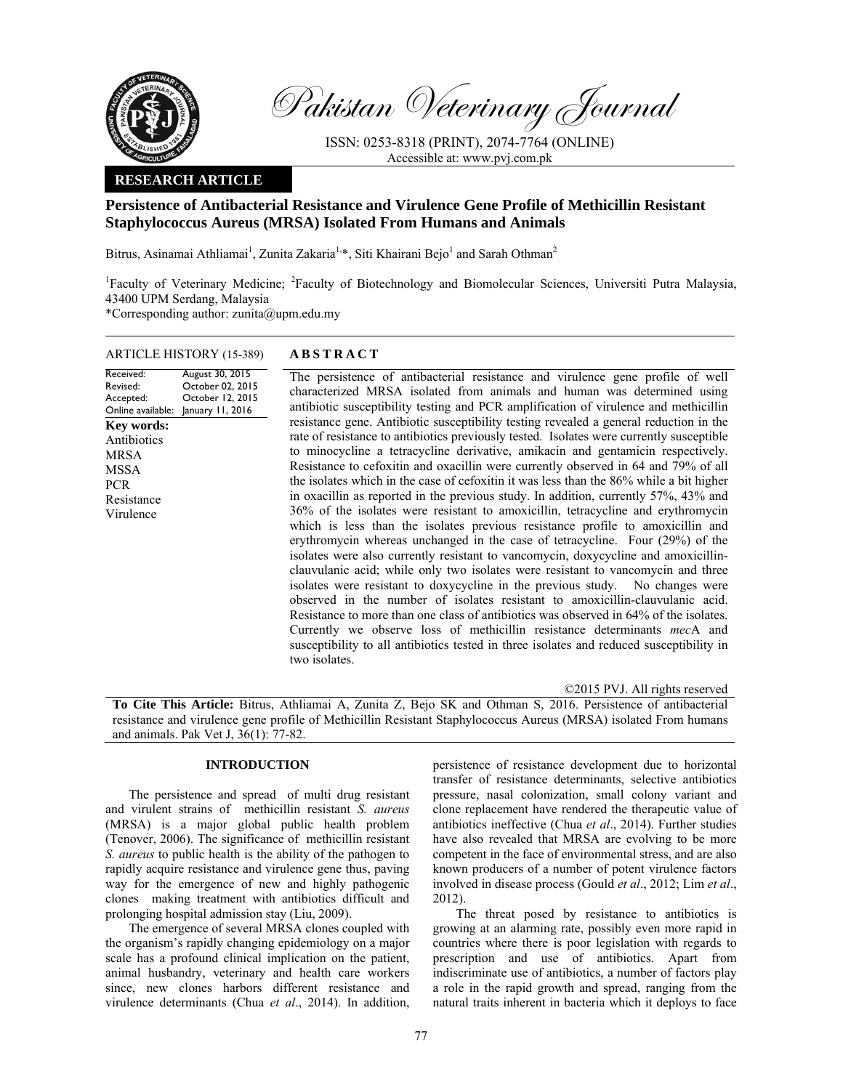

Received: Revised: Accepted:

MRSA MSSA PCR

Pakistan Veterinary Journal

ISSN: 0253-8318 (PRINT), 2074-7764 (ONLINE) Accessible at: www.pvj.com.pk

## **RESEARCH ARTICLE**

# **Persistence of Antibacterial Resistance and Virulence Gene Profile of Methicillin Resistant Staphylococcus Aureus (MRSA) Isolated From Humans and Animals**

Bitrus, Asinamai Athliamai<sup>1</sup>, Zunita Zakaria<sup>1,\*</sup>, Siti Khairani Bejo<sup>1</sup> and Sarah Othman<sup>2</sup>

<sup>1</sup>Faculty of Veterinary Medicine; <sup>2</sup>Faculty of Biotechnology and Biomolecular Sciences, Universiti Putra Malaysia, 43400 UPM Serdang, Malaysia

\*Corresponding author: zunita@upm.edu.my

# ARTICLE HISTORY (15-389) **ABSTRACT**

Online available: January 11, 2016 August 30, 2015 October 02, 2015 October 12, 2015 The persistence of antibacterial resistance and virulence gene profile of well characterized MRSA isolated from animals and human was determined using antibiotic susceptibility testing and PCR amplification of virulence and methicillin resistance gene. Antibiotic susceptibility testing revealed a general reduction in the rate of resistance to antibiotics previously tested. Isolates were currently susceptible to minocycline a tetracycline derivative, amikacin and gentamicin respectively. Resistance to cefoxitin and oxacillin were currently observed in 64 and 79% of all the isolates which in the case of cefoxitin it was less than the 86% while a bit higher in oxacillin as reported in the previous study. In addition, currently 57%, 43% and 36% of the isolates were resistant to amoxicillin, tetracycline and erythromycin which is less than the isolates previous resistance profile to amoxicillin and erythromycin whereas unchanged in the case of tetracycline. Four (29%) of the isolates were also currently resistant to vancomycin, doxycycline and amoxicillinclauvulanic acid; while only two isolates were resistant to vancomycin and three isolates were resistant to doxycycline in the previous study. No changes were observed in the number of isolates resistant to amoxicillin-clauvulanic acid. Resistance to more than one class of antibiotics was observed in 64% of the isolates. Currently we observe loss of methicillin resistance determinants *mec*A and susceptibility to all antibiotics tested in three isolates and reduced susceptibility in two isolates. **Key words:**  Antibiotics Resistance Virulence

©2015 PVJ. All rights reserved

**To Cite This Article:** Bitrus, Athliamai A, Zunita Z, Bejo SK and Othman S, 2016. Persistence of antibacterial resistance and virulence gene profile of Methicillin Resistant Staphylococcus Aureus (MRSA) isolated From humans and animals. Pak Vet J, 36(1): 77-82.

## **INTRODUCTION**

The persistence and spread of multi drug resistant and virulent strains of methicillin resistant *S. aureus* (MRSA) is a major global public health problem (Tenover, 2006). The significance of methicillin resistant *S. aureus* to public health is the ability of the pathogen to rapidly acquire resistance and virulence gene thus, paving way for the emergence of new and highly pathogenic clones making treatment with antibiotics difficult and prolonging hospital admission stay (Liu, 2009).

The emergence of several MRSA clones coupled with the organism's rapidly changing epidemiology on a major scale has a profound clinical implication on the patient, animal husbandry, veterinary and health care workers since, new clones harbors different resistance and virulence determinants (Chua *et al*., 2014). In addition,

persistence of resistance development due to horizontal transfer of resistance determinants, selective antibiotics pressure, nasal colonization, small colony variant and clone replacement have rendered the therapeutic value of antibiotics ineffective (Chua *et al*., 2014). Further studies have also revealed that MRSA are evolving to be more competent in the face of environmental stress, and are also known producers of a number of potent virulence factors involved in disease process (Gould *et al*., 2012; Lim *et al*., 2012).

The threat posed by resistance to antibiotics is growing at an alarming rate, possibly even more rapid in countries where there is poor legislation with regards to prescription and use of antibiotics. Apart from indiscriminate use of antibiotics, a number of factors play a role in the rapid growth and spread, ranging from the natural traits inherent in bacteria which it deploys to face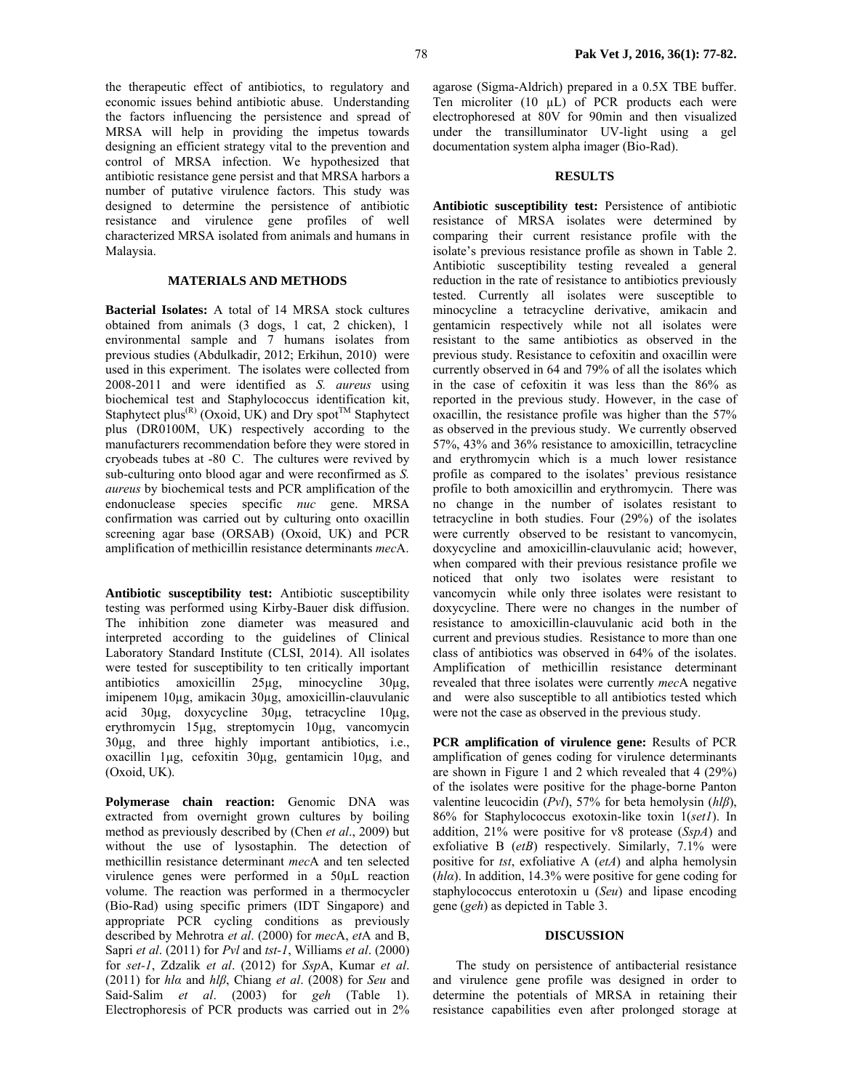the therapeutic effect of antibiotics, to regulatory and economic issues behind antibiotic abuse. Understanding the factors influencing the persistence and spread of MRSA will help in providing the impetus towards designing an efficient strategy vital to the prevention and control of MRSA infection. We hypothesized that antibiotic resistance gene persist and that MRSA harbors a number of putative virulence factors. This study was designed to determine the persistence of antibiotic resistance and virulence gene profiles of well characterized MRSA isolated from animals and humans in Malaysia.

## **MATERIALS AND METHODS**

**Bacterial Isolates:** A total of 14 MRSA stock cultures obtained from animals (3 dogs, 1 cat, 2 chicken), 1 environmental sample and 7 humans isolates from previous studies (Abdulkadir, 2012; Erkihun, 2010) were used in this experiment. The isolates were collected from 2008-2011 and were identified as *S. aureus* using biochemical test and Staphylococcus identification kit, Staphytect plus<sup>(R)</sup> (Oxoid, UK) and Dry spot<sup>TM</sup> Staphytect plus (DR0100M, UK) respectively according to the manufacturers recommendation before they were stored in cryobeads tubes at -80C. The cultures were revived by sub-culturing onto blood agar and were reconfirmed as *S. aureus* by biochemical tests and PCR amplification of the endonuclease species specific *nuc* gene. MRSA confirmation was carried out by culturing onto oxacillin screening agar base (ORSAB) (Oxoid, UK) and PCR amplification of methicillin resistance determinants *mec*A.

**Antibiotic susceptibility test:** Antibiotic susceptibility testing was performed using Kirby-Bauer disk diffusion. The inhibition zone diameter was measured and interpreted according to the guidelines of Clinical Laboratory Standard Institute (CLSI, 2014). All isolates were tested for susceptibility to ten critically important antibiotics amoxicillin 25µg, minocycline 30µg, imipenem 10µg, amikacin 30µg, amoxicillin-clauvulanic acid 30µg, doxycycline 30µg, tetracycline 10µg, erythromycin 15µg, streptomycin 10µg, vancomycin 30µg, and three highly important antibiotics, i.e., oxacillin 1µg, cefoxitin 30µg, gentamicin 10µg, and (Oxoid, UK).

**Polymerase chain reaction:** Genomic DNA was extracted from overnight grown cultures by boiling method as previously described by (Chen *et al*., 2009) but without the use of lysostaphin. The detection of methicillin resistance determinant *mec*A and ten selected virulence genes were performed in a 50µL reaction volume. The reaction was performed in a thermocycler (Bio-Rad) using specific primers (IDT Singapore) and appropriate PCR cycling conditions as previously described by Mehrotra *et al*. (2000) for *mec*A, *et*A and B, Sapri *et al*. (2011) for *Pvl* and *tst-1*, Williams *et al*. (2000) for *set-1*, Zdzalik *et al*. (2012) for *Ssp*A, Kumar *et al*. (2011) for *hlα* and *hlβ*, Chiang *et al*. (2008) for *Seu* and Said-Salim *et al*. (2003) for *geh* (Table 1). Electrophoresis of PCR products was carried out in 2%

agarose (Sigma-Aldrich) prepared in a 0.5X TBE buffer. Ten microliter (10 uL) of PCR products each were electrophoresed at 80V for 90min and then visualized under the transilluminator UV-light using a gel documentation system alpha imager (Bio-Rad).

#### **RESULTS**

**Antibiotic susceptibility test:** Persistence of antibiotic resistance of MRSA isolates were determined by comparing their current resistance profile with the isolate's previous resistance profile as shown in Table 2. Antibiotic susceptibility testing revealed a general reduction in the rate of resistance to antibiotics previously tested. Currently all isolates were susceptible to minocycline a tetracycline derivative, amikacin and gentamicin respectively while not all isolates were resistant to the same antibiotics as observed in the previous study. Resistance to cefoxitin and oxacillin were currently observed in 64 and 79% of all the isolates which in the case of cefoxitin it was less than the 86% as reported in the previous study. However, in the case of oxacillin, the resistance profile was higher than the 57% as observed in the previous study. We currently observed 57%, 43% and 36% resistance to amoxicillin, tetracycline and erythromycin which is a much lower resistance profile as compared to the isolates' previous resistance profile to both amoxicillin and erythromycin. There was no change in the number of isolates resistant to tetracycline in both studies. Four (29%) of the isolates were currently observed to be resistant to vancomycin, doxycycline and amoxicillin-clauvulanic acid; however, when compared with their previous resistance profile we noticed that only two isolates were resistant to vancomycin while only three isolates were resistant to doxycycline. There were no changes in the number of resistance to amoxicillin-clauvulanic acid both in the current and previous studies. Resistance to more than one class of antibiotics was observed in 64% of the isolates. Amplification of methicillin resistance determinant revealed that three isolates were currently *mec*A negative and were also susceptible to all antibiotics tested which were not the case as observed in the previous study.

**PCR amplification of virulence gene:** Results of PCR amplification of genes coding for virulence determinants are shown in Figure 1 and 2 which revealed that 4 (29%) of the isolates were positive for the phage-borne Panton valentine leucocidin (*Pvl*), 57% for beta hemolysin (*hlβ*), 86% for Staphylococcus exotoxin-like toxin 1(*set1*). In addition, 21% were positive for v8 protease (*SspA*) and exfoliative B (*etB*) respectively. Similarly, 7.1% were positive for *tst*, exfoliative A (*etA*) and alpha hemolysin (*hlα*). In addition, 14.3% were positive for gene coding for staphylococcus enterotoxin u (*Seu*) and lipase encoding gene (*geh*) as depicted in Table 3.

#### **DISCUSSION**

The study on persistence of antibacterial resistance and virulence gene profile was designed in order to determine the potentials of MRSA in retaining their resistance capabilities even after prolonged storage at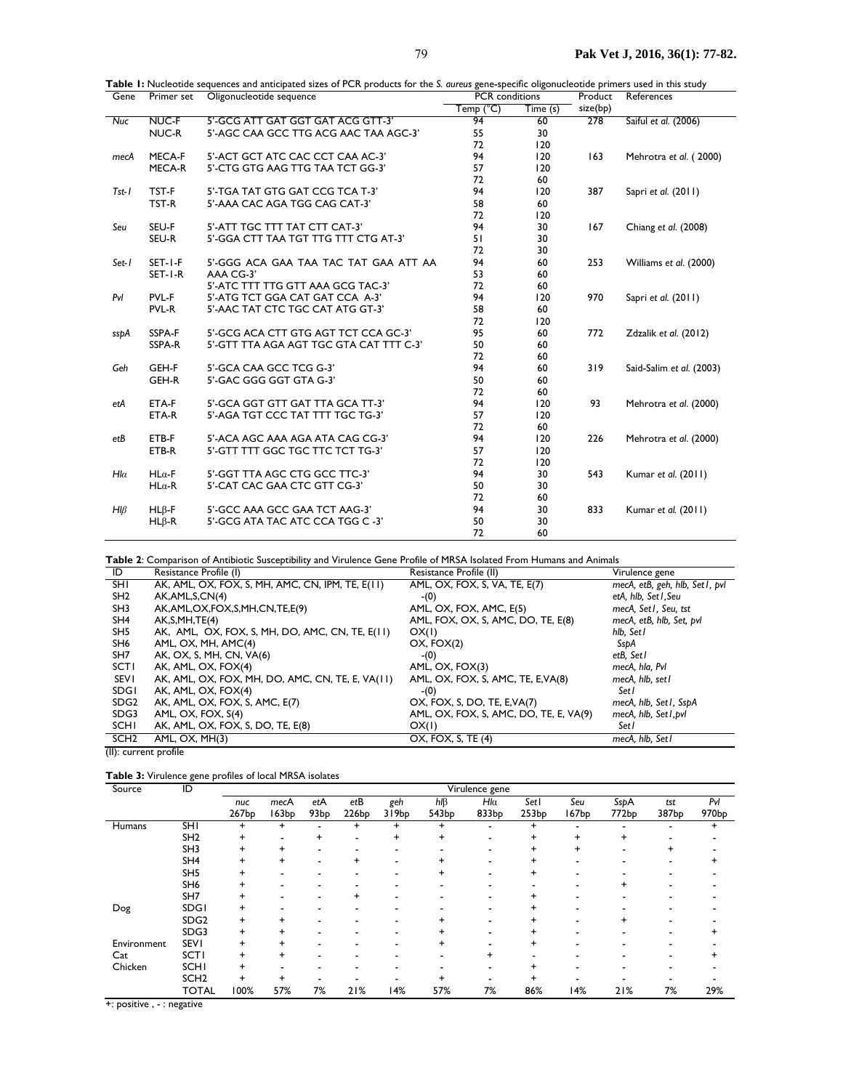| Gene           | Primer set    | <b>Table 1:</b> Nucleotide sequences and anticipated sizes of FCR products for the S. <i>dureds</i> gene-specific oligonucleotide primers used in this study<br>Oligonucleotide sequence | <b>PCR</b> conditions |                              | Product  | References               |  |
|----------------|---------------|------------------------------------------------------------------------------------------------------------------------------------------------------------------------------------------|-----------------------|------------------------------|----------|--------------------------|--|
|                |               |                                                                                                                                                                                          | Temp (°C)             | $\overline{\text{Time}}$ (s) | size(bp) |                          |  |
| <b>Nuc</b>     | NUC-F         | 5'-GCG ATT GAT GGT GAT ACG GTT-3'                                                                                                                                                        | 94                    | 60                           | 278      | Saiful et al. (2006)     |  |
|                | NUC-R         | 5'-AGC CAA GCC TTG ACG AAC TAA AGC-3'                                                                                                                                                    | 55                    | 30                           |          |                          |  |
|                |               |                                                                                                                                                                                          | 72                    | 120                          |          |                          |  |
| mecA           | MECA-F        | 5'-ACT GCT ATC CAC CCT CAA AC-3'                                                                                                                                                         | 94                    | 120                          | 163      | Mehrotra et al. (2000)   |  |
|                | MECA-R        | 5'-CTG GTG AAG TTG TAA TCT GG-3'                                                                                                                                                         | 57                    | 120                          |          |                          |  |
|                |               |                                                                                                                                                                                          | 72                    | 60                           |          |                          |  |
| $Tst-I$        | TST-F         | 5'-TGA TAT GTG GAT CCG TCA T-3'                                                                                                                                                          | 94                    | 120                          | 387      | Sapri et al. (2011)      |  |
|                | TST-R         | 5'-AAA CAC AGA TGG CAG CAT-3'                                                                                                                                                            | 58                    | 60                           |          |                          |  |
|                |               |                                                                                                                                                                                          | 72                    | 120                          |          |                          |  |
| Seu            | SEU-F         | 5'-ATT TGC TTT TAT CTT CAT-3'                                                                                                                                                            | 94                    | 30                           | 167      | Chiang et al. (2008)     |  |
|                | SEU-R         | 5'-GGA CTT TAA TGT TTG TTT CTG AT-3'                                                                                                                                                     | 51                    | 30                           |          |                          |  |
|                |               |                                                                                                                                                                                          | 72                    | 30                           |          |                          |  |
| Set-1          | SET-I-F       | 5'-GGG ACA GAA TAA TAC TAT GAA ATT AA                                                                                                                                                    | 94                    | 60                           | 253      | Williams et al. (2000)   |  |
|                | SET-I-R       | AAA CG-3'                                                                                                                                                                                | 53                    | 60                           |          |                          |  |
|                |               | 5'-ATC TTT TTG GTT AAA GCG TAC-3'                                                                                                                                                        | 72                    | 60                           |          |                          |  |
| PvI            | PVL-F         | 5'-ATG TCT GGA CAT GAT CCA A-3'                                                                                                                                                          | 94                    | 120                          | 970      | Sapri et al. (2011)      |  |
|                | PVL-R         | 5'-AAC TAT CTC TGC CAT ATG GT-3'                                                                                                                                                         | 58                    | 60                           |          |                          |  |
|                |               |                                                                                                                                                                                          | 72                    | 120                          |          |                          |  |
| sspA           | SSPA-F        | 5'-GCG ACA CTT GTG AGT TCT CCA GC-3'                                                                                                                                                     | 95                    | 60                           | 772      | Zdzalik et al. (2012)    |  |
|                | SSPA-R        | 5'-GTT TTA AGA AGT TGC GTA CAT TTT C-3'                                                                                                                                                  | 50                    | 60                           |          |                          |  |
|                |               |                                                                                                                                                                                          | 72                    | 60                           |          |                          |  |
| Geh            | GEH-F         | 5'-GCA CAA GCC TCG G-3'                                                                                                                                                                  | 94                    | 60                           | 319      | Said-Salim et al. (2003) |  |
|                | GEH-R         | 5'-GAC GGG GGT GTA G-3'                                                                                                                                                                  | 50                    | 60                           |          |                          |  |
|                |               |                                                                                                                                                                                          | 72                    | 60                           |          |                          |  |
| etA            | ETA-F         | 5'-GCA GGT GTT GAT TTA GCA TT-3'                                                                                                                                                         | 94                    | 120                          | 93       | Mehrotra et al. (2000)   |  |
|                | ETA-R         | 5'-AGA TGT CCC TAT TTT TGC TG-3'                                                                                                                                                         | 57                    | 120                          |          |                          |  |
|                |               |                                                                                                                                                                                          | 72                    | 60                           |          |                          |  |
| etB            | ETB-F         | 5'-ACA AGC AAA AGA ATA CAG CG-3'                                                                                                                                                         | 94                    | 120                          | 226      | Mehrotra et al. (2000)   |  |
|                | ETB-R         | 5'-GTT TTT GGC TGC TTC TCT TG-3'                                                                                                                                                         | 57                    | 120                          |          |                          |  |
|                |               |                                                                                                                                                                                          | 72                    | 120                          |          |                          |  |
| $H I\alpha$    | $HL\alpha$ -F | 5'-GGT TTA AGC CTG GCC TTC-3'                                                                                                                                                            | 94                    | 30                           | 543      | Kumar et al. (2011)      |  |
|                | $HL\alpha$ -R | 5'-CAT CAC GAA CTC GTT CG-3'                                                                                                                                                             | 50                    | 30                           |          |                          |  |
|                |               |                                                                                                                                                                                          | 72                    | 60                           |          |                          |  |
| $H\mathcal{B}$ | $HL\beta$ -F  | 5'-GCC AAA GCC GAA TCT AAG-3'                                                                                                                                                            | 94                    | 30                           | 833      | Kumar et al. (2011)      |  |
|                | $HL\beta$ -R  | 5'-GCG ATA TAC ATC CCA TGG C -3'                                                                                                                                                         | 50                    | 30                           |          |                          |  |
|                |               |                                                                                                                                                                                          | 72                    | 60                           |          |                          |  |

| Table I: Nucleotide sequences and anticipated sizes of PCR products for the S. aureus gene-specific oligonucleotide primers used in this study |
|------------------------------------------------------------------------------------------------------------------------------------------------|
|                                                                                                                                                |

Table 2: Comparison of Antibiotic Susceptibility and Virulence Gene Profile of MRSA Isolated From Humans and Animals

| ID               | Resistance Profile (I)                           | Resistance Profile (II)                | Virulence gene                 |
|------------------|--------------------------------------------------|----------------------------------------|--------------------------------|
| <b>SHI</b>       | AK, AML, OX, FOX, S, MH, AMC, CN, IPM, TE, E(11) | AML, OX, FOX, S, VA, TE, E(7)          | mecA, etB, geh, hlb, Set1, pvl |
| SH <sub>2</sub>  | AK, AML, S, CN(4)                                | $-(0)$                                 | etA, hlb, Set I, Seu           |
| SH3              | AK,AML,OX,FOX,S,MH,CN,TE,E(9)                    | AML, OX, FOX, AMC, E(5)                | mecA, Set1, Seu, tst           |
| SH <sub>4</sub>  | AK, S, MH, TE(4)                                 | AML, FOX, OX, S, AMC, DO, TE, E(8)     | mecA, etB, hlb, Set, pvl       |
| SH <sub>5</sub>  | AK, AML, OX, FOX, S, MH, DO, AMC, CN, TE, E(11)  | OX(1)                                  | hlb, Set l                     |
| SH <sub>6</sub>  | AML, OX, MH, AMC(4)                              | OX, FOX(2)                             | SspA                           |
| SH <sub>7</sub>  | AK, OX, S, MH, CN, VA(6)                         | $-(0)$                                 | etB, Set I                     |
| <b>SCTI</b>      | AK, AML, OX, FOX(4)                              | AML, OX, FOX(3)                        | mecA, hla, Pvl                 |
| <b>SEV1</b>      | AK, AML, OX, FOX, MH, DO, AMC, CN, TE, E, VA(11) | AML, OX, FOX, S, AMC, TE, E, VA(8)     | mecA, hlb, set l               |
| <b>SDGI</b>      | AK, AML, OX, FOX(4)                              | $-(0)$                                 | Set I                          |
| SDG <sub>2</sub> | AK, AML, OX, FOX, S, AMC, E(7)                   | OX, FOX, S, DO, TE, E, VA(7)           | mecA, hlb, Set1, SspA          |
| SDG3             | AML, OX, FOX, S(4)                               | AML, OX, FOX, S, AMC, DO, TE, E, VA(9) | mecA, hlb, Set1, pvl           |
| SCHI             | AK, AML, OX, FOX, S, DO, TE, E(8)                | OX(1)                                  | Set l                          |
| SCH <sub>2</sub> | AML, OX, MH(3)                                   | OX, FOX, S, TE (4)                     | mecA, hlb, Set I               |

(II): current profile

#### Table 3: Virulence gene profiles of local MRSA isolates

| Source        | ID               | Virulence gene |           |                  |           |           |                |                |           |           |             |       |                   |
|---------------|------------------|----------------|-----------|------------------|-----------|-----------|----------------|----------------|-----------|-----------|-------------|-------|-------------------|
|               |                  | nuc            | mecA      | etA              | etB       | geh       | $h \mathsf{B}$ | $Hl\alpha$     | Set I     | Seu       | <b>SspA</b> | tst   | Pvl               |
|               |                  | 267bp          | 63bp      | 93 <sub>bp</sub> | 226bp     | 319bp     | 543bp          | 833bp          | 253bp     | 167bp     | 772bp       | 387bp | 970 <sub>bp</sub> |
| <b>Humans</b> | <b>SHI</b>       | +              | $\ddot{}$ |                  | $\ddot{}$ | $\ddot{}$ | $\ddot{}$      | $\blacksquare$ | $\ddot{}$ |           |             |       | $\ddot{}$         |
|               | SH <sub>2</sub>  | +              |           | +                |           | $\ddot{}$ | $\ddot{}$      |                |           | $\ddot{}$ | $\ddot{}$   |       |                   |
|               | SH <sub>3</sub>  | +              |           |                  |           |           |                |                |           | $\ddot{}$ |             |       |                   |
|               | SH <sub>4</sub>  |                |           |                  | $\ddot{}$ | -         |                |                |           |           |             |       |                   |
|               | SH <sub>5</sub>  |                |           |                  |           | -         |                |                |           |           |             |       |                   |
|               | SH <sub>6</sub>  |                |           |                  |           |           |                |                |           |           |             |       |                   |
|               | SH7              |                |           |                  | $\ddot{}$ |           |                |                |           |           |             |       |                   |
| Dog           | <b>SDGI</b>      |                |           |                  |           |           |                |                |           |           |             |       |                   |
|               | SDG <sub>2</sub> | +              |           |                  |           |           |                |                |           |           | ٠           |       |                   |
|               | SDG3             | +              |           |                  |           |           |                |                |           |           |             |       |                   |
| Environment   | <b>SEVI</b>      | +              |           |                  |           |           |                |                |           |           |             |       |                   |
| Cat           | <b>SCTI</b>      |                |           |                  |           |           |                | +              |           |           |             |       |                   |
| Chicken       | <b>SCHI</b>      | +              |           |                  |           |           |                |                |           |           |             |       |                   |
|               | SCH <sub>2</sub> | $\ddot{}$      |           |                  |           |           |                |                |           |           |             |       |                   |
|               | <b>TOTAL</b>     | 100%           | 57%       | 7%               | 21%       | 14%       | 57%            | 7%             | 86%       | 14%       | 21%         | 7%    | 29%               |

+: positive, - : negative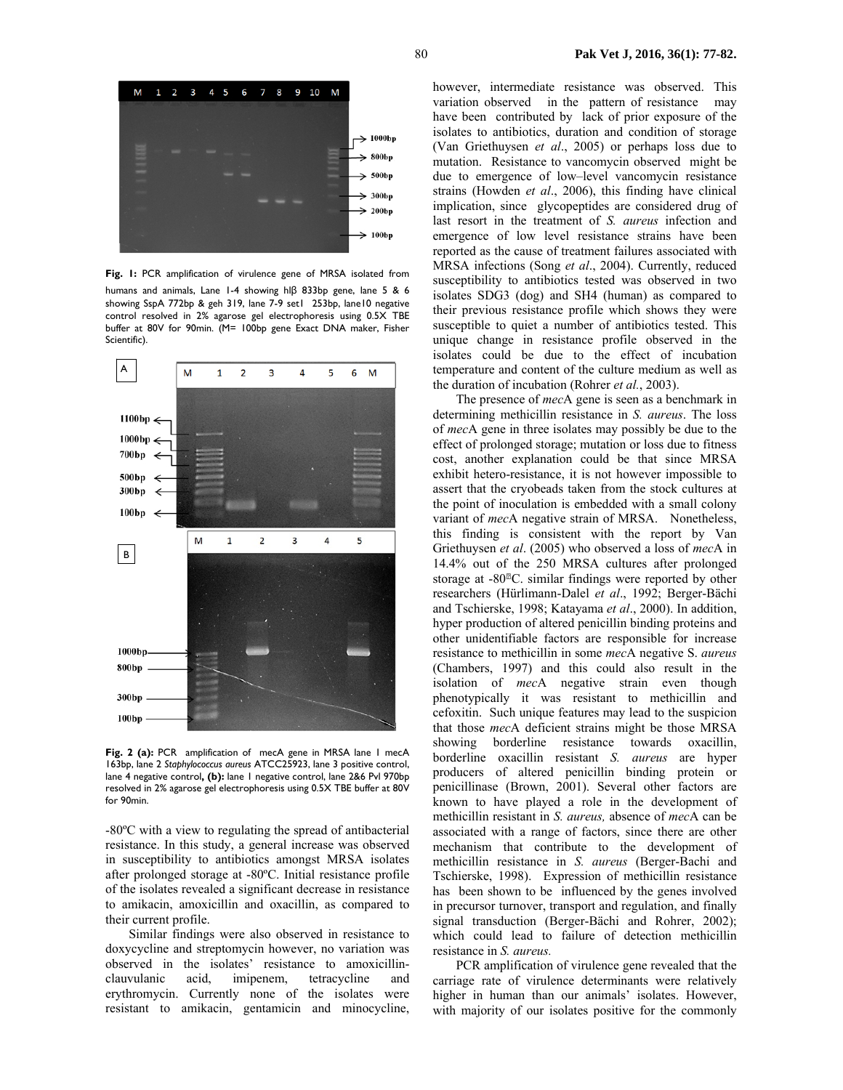

**Fig. 1:** PCR amplification of virulence gene of MRSA isolated from humans and animals, Lane 1-4 showing hlβ 833bp gene, lane 5 & 6 showing SspA 772bp & geh 319, lane 7-9 set1 253bp, lane10 negative control resolved in 2% agarose gel electrophoresis using 0.5X TBE buffer at 80V for 90min. (M= 100bp gene Exact DNA maker, Fisher Scientific).



Fig. 2 (a): PCR amplification of mecA gene in MRSA lane 1 mecA 163bp, lane 2 *Staphylococcus aureus* ATCC25923, lane 3 positive control, lane 4 negative control**, (b):** lane 1 negative control, lane 2&6 Pvl 970bp resolved in 2% agarose gel electrophoresis using 0.5X TBE buffer at 80V for 90min.

-80ºC with a view to regulating the spread of antibacterial resistance. In this study, a general increase was observed in susceptibility to antibiotics amongst MRSA isolates after prolonged storage at -80ºC. Initial resistance profile of the isolates revealed a significant decrease in resistance to amikacin, amoxicillin and oxacillin, as compared to their current profile.

Similar findings were also observed in resistance to doxycycline and streptomycin however, no variation was observed in the isolates' resistance to amoxicillinclauvulanic acid, imipenem, tetracycline and erythromycin. Currently none of the isolates were resistant to amikacin, gentamicin and minocycline,

however, intermediate resistance was observed. This variation observed in the pattern of resistance may have been contributed by lack of prior exposure of the isolates to antibiotics, duration and condition of storage (Van Griethuysen *et al*., 2005) or perhaps loss due to mutation. Resistance to vancomycin observed might be due to emergence of low–level vancomycin resistance strains (Howden *et al*., 2006), this finding have clinical implication, since glycopeptides are considered drug of last resort in the treatment of *S. aureus* infection and emergence of low level resistance strains have been reported as the cause of treatment failures associated with MRSA infections (Song *et al*., 2004). Currently, reduced susceptibility to antibiotics tested was observed in two isolates SDG3 (dog) and SH4 (human) as compared to their previous resistance profile which shows they were susceptible to quiet a number of antibiotics tested. This unique change in resistance profile observed in the isolates could be due to the effect of incubation temperature and content of the culture medium as well as the duration of incubation (Rohrer *et al.*, 2003).

The presence of *mec*A gene is seen as a benchmark in determining methicillin resistance in *S. aureus*. The loss of *mec*A gene in three isolates may possibly be due to the effect of prolonged storage; mutation or loss due to fitness cost, another explanation could be that since MRSA exhibit hetero-resistance, it is not however impossible to assert that the cryobeads taken from the stock cultures at the point of inoculation is embedded with a small colony variant of *mec*A negative strain of MRSA. Nonetheless, this finding is consistent with the report by Van Griethuysen *et al*. (2005) who observed a loss of *mec*A in 14.4% out of the 250 MRSA cultures after prolonged storage at  $-80^{\text{m}}$ C. similar findings were reported by other researchers (Hürlimann-Dalel *et al*., 1992; Berger-Bächi and Tschierske, 1998; Katayama *et al*., 2000). In addition, hyper production of altered penicillin binding proteins and other unidentifiable factors are responsible for increase resistance to methicillin in some *mec*A negative S. *aureus* (Chambers, 1997) and this could also result in the isolation of *mec*A negative strain even though phenotypically it was resistant to methicillin and cefoxitin. Such unique features may lead to the suspicion that those *mec*A deficient strains might be those MRSA showing borderline resistance towards oxacillin, borderline oxacillin resistant *S. aureus* are hyper producers of altered penicillin binding protein or penicillinase (Brown, 2001). Several other factors are known to have played a role in the development of methicillin resistant in *S. aureus,* absence of *mec*A can be associated with a range of factors, since there are other mechanism that contribute to the development of methicillin resistance in *S. aureus* (Berger-Bachi and Tschierske, 1998). Expression of methicillin resistance has been shown to be influenced by the genes involved in precursor turnover, transport and regulation, and finally signal transduction (Berger-Bächi and Rohrer, 2002); which could lead to failure of detection methicillin resistance in *S. aureus.*

PCR amplification of virulence gene revealed that the carriage rate of virulence determinants were relatively higher in human than our animals' isolates. However, with majority of our isolates positive for the commonly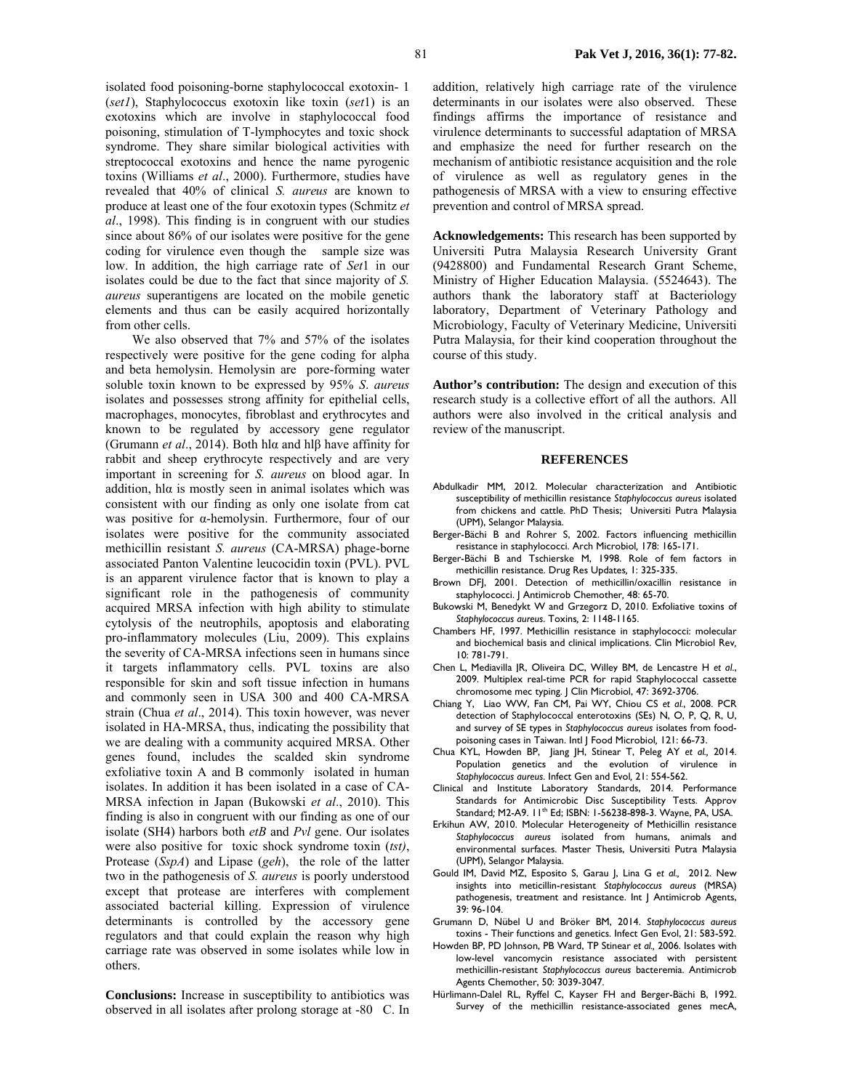isolated food poisoning-borne staphylococcal exotoxin- 1 (*set1*), Staphylococcus exotoxin like toxin (*set*1) is an exotoxins which are involve in staphylococcal food poisoning, stimulation of T-lymphocytes and toxic shock syndrome. They share similar biological activities with streptococcal exotoxins and hence the name pyrogenic toxins (Williams *et al*., 2000). Furthermore, studies have revealed that 40% of clinical *S. aureus* are known to produce at least one of the four exotoxin types (Schmitz *et al*., 1998). This finding is in congruent with our studies since about 86% of our isolates were positive for the gene coding for virulence even though the sample size was low. In addition, the high carriage rate of *Set*1 in our isolates could be due to the fact that since majority of *S. aureus* superantigens are located on the mobile genetic elements and thus can be easily acquired horizontally from other cells.

 We also observed that 7% and 57% of the isolates respectively were positive for the gene coding for alpha and beta hemolysin. Hemolysin are pore-forming water soluble toxin known to be expressed by 95% *S*. *aureus* isolates and possesses strong affinity for epithelial cells, macrophages, monocytes, fibroblast and erythrocytes and known to be regulated by accessory gene regulator (Grumann *et al*., 2014). Both hlα and hlβ have affinity for rabbit and sheep erythrocyte respectively and are very important in screening for *S. aureus* on blood agar. In addition, hl $\alpha$  is mostly seen in animal isolates which was consistent with our finding as only one isolate from cat was positive for α-hemolysin. Furthermore, four of our isolates were positive for the community associated methicillin resistant *S. aureus* (CA-MRSA) phage-borne associated Panton Valentine leucocidin toxin (PVL). PVL is an apparent virulence factor that is known to play a significant role in the pathogenesis of community acquired MRSA infection with high ability to stimulate cytolysis of the neutrophils, apoptosis and elaborating pro-inflammatory molecules (Liu, 2009). This explains the severity of CA-MRSA infections seen in humans since it targets inflammatory cells. PVL toxins are also responsible for skin and soft tissue infection in humans and commonly seen in USA 300 and 400 CA-MRSA strain (Chua *et al*., 2014). This toxin however, was never isolated in HA-MRSA, thus, indicating the possibility that we are dealing with a community acquired MRSA. Other genes found, includes the scalded skin syndrome exfoliative toxin A and B commonly isolated in human isolates. In addition it has been isolated in a case of CA-MRSA infection in Japan (Bukowski *et al*., 2010). This finding is also in congruent with our finding as one of our isolate (SH4) harbors both *etB* and *Pvl* gene. Our isolates were also positive for toxic shock syndrome toxin (*tst)*, Protease (*SspA*) and Lipase (*geh*), the role of the latter two in the pathogenesis of *S. aureus* is poorly understood except that protease are interferes with complement associated bacterial killing. Expression of virulence determinants is controlled by the accessory gene regulators and that could explain the reason why high carriage rate was observed in some isolates while low in others.

**Conclusions:** Increase in susceptibility to antibiotics was observed in all isolates after prolong storage at -80 C. In

addition, relatively high carriage rate of the virulence determinants in our isolates were also observed. These findings affirms the importance of resistance and virulence determinants to successful adaptation of MRSA and emphasize the need for further research on the mechanism of antibiotic resistance acquisition and the role of virulence as well as regulatory genes in the pathogenesis of MRSA with a view to ensuring effective prevention and control of MRSA spread.

**Acknowledgements:** This research has been supported by Universiti Putra Malaysia Research University Grant (9428800) and Fundamental Research Grant Scheme, Ministry of Higher Education Malaysia. (5524643). The authors thank the laboratory staff at Bacteriology laboratory, Department of Veterinary Pathology and Microbiology, Faculty of Veterinary Medicine, Universiti Putra Malaysia, for their kind cooperation throughout the course of this study.

**Author's contribution:** The design and execution of this research study is a collective effort of all the authors. All authors were also involved in the critical analysis and review of the manuscript.

#### **REFERENCES**

- Abdulkadir MM, 2012. Molecular characterization and Antibiotic susceptibility of methicillin resistance *Staphylococcus aureus* isolated from chickens and cattle. PhD Thesis; Universiti Putra Malaysia (UPM), Selangor Malaysia.
- Berger-Bächi B and Rohrer S, 2002. Factors influencing methicillin resistance in staphylococci. Arch Microbiol*,* 178: 165-171.
- Berger-Bächi B and Tschierske M, 1998. Role of fem factors in methicillin resistance. Drug Res Updates*,* 1: 325-335.
- Brown DFJ, 2001. Detection of methicillin/oxacillin resistance in staphylococci. J Antimicrob Chemother*,* 48: 65-70.
- Bukowski M, Benedykt W and Grzegorz D, 2010. Exfoliative toxins of *Staphylococcus aureus*. Toxins*,* 2: 1148-1165.
- Chambers HF, 1997. Methicillin resistance in staphylococci: molecular and biochemical basis and clinical implications. Clin Microbiol Rev*,*  10: 781-791.
- Chen L, Mediavilla JR, Oliveira DC, Willey BM, de Lencastre H *et al*., 2009. Multiplex real-time PCR for rapid Staphylococcal cassette chromosome mec typing. J Clin Microbiol, 47: 3692-3706.
- Chiang Y, Liao WW, Fan CM, Pai WY, Chiou CS *et al.*, 2008. PCR detection of Staphylococcal enterotoxins (SEs) N, O, P, Q, R, U, and survey of SE types in *Staphylococcus aureus* isolates from foodpoisoning cases in Taiwan. Intl J Food Microbiol*,* 121: 66-73.
- Chua KYL, Howden BP, Jiang JH, Stinear T, Peleg AY *et al.,* 2014. Population genetics and the evolution of virulence in *Staphylococcus aureus*. Infect Gen and Evol*,* 21: 554-562.
- Clinical and Institute Laboratory Standards, 2014. Performance Standards for Antimicrobic Disc Susceptibility Tests. Approv Standard*;* M2-A9. 11th Ed; ISBN: 1-56238-898-3. Wayne, PA, USA.
- Erkihun AW, 2010. Molecular Heterogeneity of Methicillin resistance *Staphylococcus aureus* isolated from humans, animals and environmental surfaces. Master Thesis, Universiti Putra Malaysia (UPM), Selangor Malaysia.
- Gould IM, David MZ, Esposito S, Garau J, Lina G *et al.,* 2012. New insights into meticillin-resistant *Staphylococcus aureus* (MRSA) pathogenesis, treatment and resistance. Int | Antimicrob Agents, 39: 96-104.
- Grumann D, Nübel U and Bröker BM, 2014. *Staphylococcus aureus* toxins - Their functions and genetics. Infect Gen Evol, 21: 583-592.
- Howden BP, PD Johnson, PB Ward, TP Stinear *et al.,* 2006. Isolates with low-level vancomycin resistance associated with persistent methicillin-resistant *Staphylococcus aureus* bacteremia. Antimicrob Agents Chemother, 50: 3039-3047.
- Hürlimann-Dalel RL, Ryffel C, Kayser FH and Berger-Bächi B, 1992. Survey of the methicillin resistance-associated genes mecA,